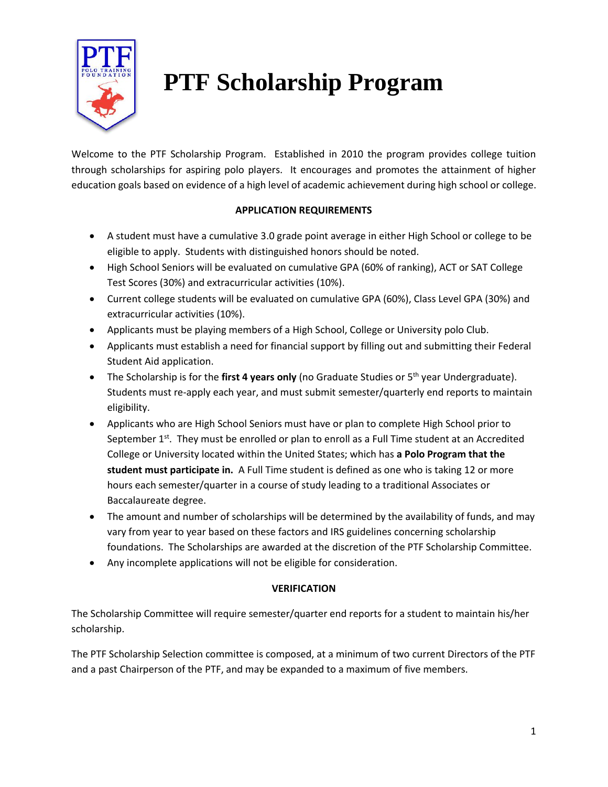

# **PTF Scholarship Program**

Welcome to the PTF Scholarship Program. Established in 2010 the program provides college tuition through scholarships for aspiring polo players. It encourages and promotes the attainment of higher education goals based on evidence of a high level of academic achievement during high school or college.

### **APPLICATION REQUIREMENTS**

- A student must have a cumulative 3.0 grade point average in either High School or college to be eligible to apply. Students with distinguished honors should be noted.
- High School Seniors will be evaluated on cumulative GPA (60% of ranking), ACT or SAT College Test Scores (30%) and extracurricular activities (10%).
- Current college students will be evaluated on cumulative GPA (60%), Class Level GPA (30%) and extracurricular activities (10%).
- Applicants must be playing members of a High School, College or University polo Club.
- Applicants must establish a need for financial support by filling out and submitting their Federal Student Aid application.
- The Scholarship is for the first 4 years only (no Graduate Studies or 5<sup>th</sup> year Undergraduate). Students must re-apply each year, and must submit semester/quarterly end reports to maintain eligibility.
- Applicants who are High School Seniors must have or plan to complete High School prior to September  $1<sup>st</sup>$ . They must be enrolled or plan to enroll as a Full Time student at an Accredited College or University located within the United States; which has **a Polo Program that the student must participate in.** A Full Time student is defined as one who is taking 12 or more hours each semester/quarter in a course of study leading to a traditional Associates or Baccalaureate degree.
- The amount and number of scholarships will be determined by the availability of funds, and may vary from year to year based on these factors and IRS guidelines concerning scholarship foundations. The Scholarships are awarded at the discretion of the PTF Scholarship Committee.
- Any incomplete applications will not be eligible for consideration.

### **VERIFICATION**

The Scholarship Committee will require semester/quarter end reports for a student to maintain his/her scholarship.

The PTF Scholarship Selection committee is composed, at a minimum of two current Directors of the PTF and a past Chairperson of the PTF, and may be expanded to a maximum of five members.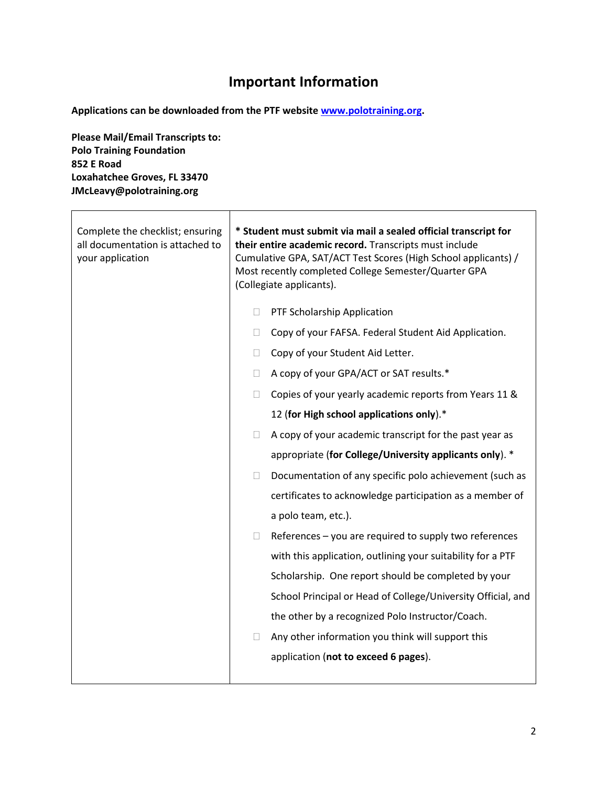## **Important Information**

**Applications can be downloaded from the PTF website [www.polotraining.org.](http://www.polotraining.org/)** 

**Please Mail/Email Transcripts to: Polo Training Foundation 852 E Road Loxahatchee Groves, FL 33470 JMcLeavy@polotraining.org**

| Complete the checklist; ensuring<br>all documentation is attached to<br>your application | * Student must submit via mail a sealed official transcript for<br>their entire academic record. Transcripts must include<br>Cumulative GPA, SAT/ACT Test Scores (High School applicants) /<br>Most recently completed College Semester/Quarter GPA<br>(Collegiate applicants). |  |  |
|------------------------------------------------------------------------------------------|---------------------------------------------------------------------------------------------------------------------------------------------------------------------------------------------------------------------------------------------------------------------------------|--|--|
|                                                                                          | PTF Scholarship Application<br>□                                                                                                                                                                                                                                                |  |  |
|                                                                                          | Copy of your FAFSA. Federal Student Aid Application.<br>$\Box$                                                                                                                                                                                                                  |  |  |
|                                                                                          | Copy of your Student Aid Letter.<br>0                                                                                                                                                                                                                                           |  |  |
|                                                                                          | A copy of your GPA/ACT or SAT results.*<br>$\Box$                                                                                                                                                                                                                               |  |  |
|                                                                                          | Copies of your yearly academic reports from Years 11 &<br>П                                                                                                                                                                                                                     |  |  |
|                                                                                          | 12 (for High school applications only).*                                                                                                                                                                                                                                        |  |  |
|                                                                                          | A copy of your academic transcript for the past year as<br>П                                                                                                                                                                                                                    |  |  |
|                                                                                          | appropriate (for College/University applicants only). *                                                                                                                                                                                                                         |  |  |
|                                                                                          | Documentation of any specific polo achievement (such as<br>П                                                                                                                                                                                                                    |  |  |
|                                                                                          | certificates to acknowledge participation as a member of                                                                                                                                                                                                                        |  |  |
|                                                                                          | a polo team, etc.).                                                                                                                                                                                                                                                             |  |  |
|                                                                                          | References - you are required to supply two references<br>□                                                                                                                                                                                                                     |  |  |
|                                                                                          | with this application, outlining your suitability for a PTF                                                                                                                                                                                                                     |  |  |
|                                                                                          | Scholarship. One report should be completed by your                                                                                                                                                                                                                             |  |  |
|                                                                                          | School Principal or Head of College/University Official, and                                                                                                                                                                                                                    |  |  |
|                                                                                          | the other by a recognized Polo Instructor/Coach.                                                                                                                                                                                                                                |  |  |
|                                                                                          | Any other information you think will support this<br>П                                                                                                                                                                                                                          |  |  |
|                                                                                          | application (not to exceed 6 pages).                                                                                                                                                                                                                                            |  |  |
|                                                                                          |                                                                                                                                                                                                                                                                                 |  |  |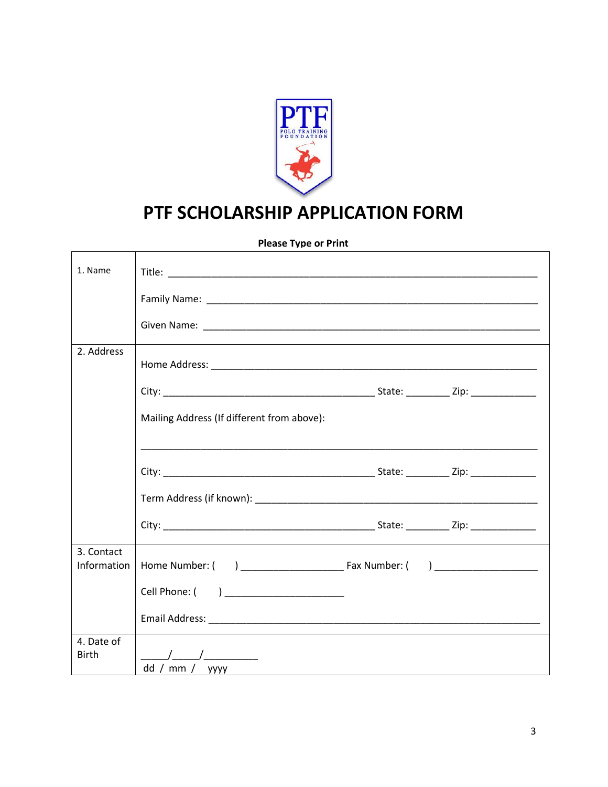

## PTF SCHOLARSHIP APPLICATION FORM

**Please Type or Print** 

| 1. Name                    |                                                                                                                      |
|----------------------------|----------------------------------------------------------------------------------------------------------------------|
|                            |                                                                                                                      |
|                            |                                                                                                                      |
| 2. Address                 |                                                                                                                      |
|                            |                                                                                                                      |
|                            | Mailing Address (If different from above):                                                                           |
|                            | <u> 1989 - Johann John Harry Harry Harry Harry Harry Harry Harry Harry Harry Harry Harry Harry Harry Harry Harry</u> |
|                            |                                                                                                                      |
|                            |                                                                                                                      |
|                            |                                                                                                                      |
| 3. Contact<br>Information  |                                                                                                                      |
|                            | Cell Phone: ( ) _____________________                                                                                |
|                            |                                                                                                                      |
| 4. Date of<br><b>Birth</b> | dd / mm /<br><b>YYYY</b>                                                                                             |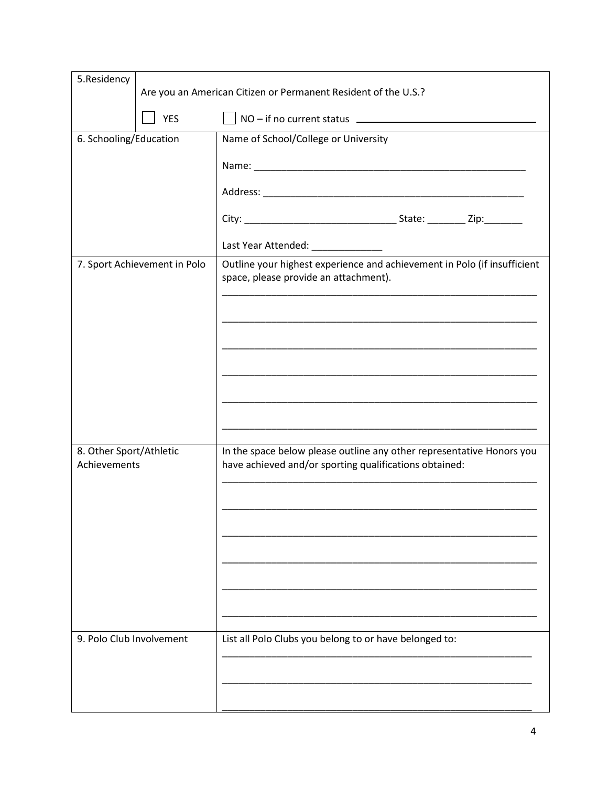| 5.Residency                             | Are you an American Citizen or Permanent Resident of the U.S.? |                                                                                                                                 |
|-----------------------------------------|----------------------------------------------------------------|---------------------------------------------------------------------------------------------------------------------------------|
|                                         | <b>YES</b>                                                     |                                                                                                                                 |
| 6. Schooling/Education                  |                                                                | Name of School/College or University                                                                                            |
|                                         |                                                                |                                                                                                                                 |
|                                         |                                                                |                                                                                                                                 |
|                                         |                                                                |                                                                                                                                 |
|                                         |                                                                |                                                                                                                                 |
|                                         |                                                                |                                                                                                                                 |
|                                         | 7. Sport Achievement in Polo                                   | Outline your highest experience and achievement in Polo (if insufficient<br>space, please provide an attachment).               |
|                                         |                                                                |                                                                                                                                 |
|                                         |                                                                | <u> 1980 - Jan James James James James James James James James James James James James James James James James J</u>            |
|                                         |                                                                |                                                                                                                                 |
|                                         |                                                                |                                                                                                                                 |
|                                         |                                                                |                                                                                                                                 |
|                                         |                                                                |                                                                                                                                 |
| 8. Other Sport/Athletic<br>Achievements |                                                                | In the space below please outline any other representative Honors you<br>have achieved and/or sporting qualifications obtained: |
|                                         |                                                                |                                                                                                                                 |
|                                         |                                                                |                                                                                                                                 |
|                                         |                                                                |                                                                                                                                 |
|                                         |                                                                |                                                                                                                                 |
|                                         |                                                                |                                                                                                                                 |
|                                         |                                                                |                                                                                                                                 |
| 9. Polo Club Involvement                |                                                                | List all Polo Clubs you belong to or have belonged to:                                                                          |
|                                         |                                                                |                                                                                                                                 |
|                                         |                                                                |                                                                                                                                 |
|                                         |                                                                |                                                                                                                                 |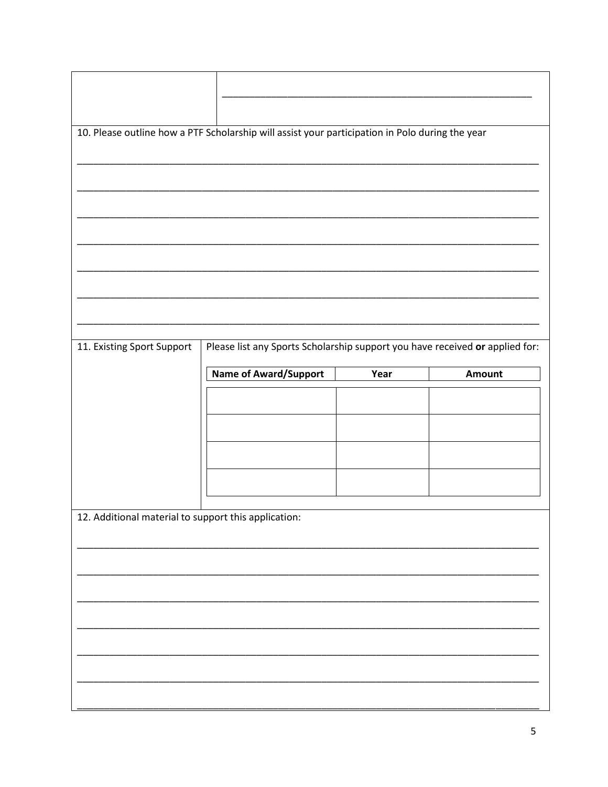|                                                      | 10. Please outline how a PTF Scholarship will assist your participation in Polo during the year |      |        |
|------------------------------------------------------|-------------------------------------------------------------------------------------------------|------|--------|
|                                                      |                                                                                                 |      |        |
|                                                      |                                                                                                 |      |        |
|                                                      |                                                                                                 |      |        |
|                                                      |                                                                                                 |      |        |
|                                                      |                                                                                                 |      |        |
|                                                      |                                                                                                 |      |        |
|                                                      |                                                                                                 |      |        |
|                                                      |                                                                                                 |      |        |
| 11. Existing Sport Support                           | Please list any Sports Scholarship support you have received or applied for:                    |      |        |
|                                                      | <b>Name of Award/Support</b>                                                                    | Year | Amount |
|                                                      |                                                                                                 |      |        |
|                                                      |                                                                                                 |      |        |
|                                                      |                                                                                                 |      |        |
|                                                      |                                                                                                 |      |        |
|                                                      |                                                                                                 |      |        |
|                                                      |                                                                                                 |      |        |
| 12. Additional material to support this application: |                                                                                                 |      |        |
|                                                      |                                                                                                 |      |        |
|                                                      |                                                                                                 |      |        |
|                                                      |                                                                                                 |      |        |
|                                                      |                                                                                                 |      |        |
|                                                      |                                                                                                 |      |        |
|                                                      |                                                                                                 |      |        |